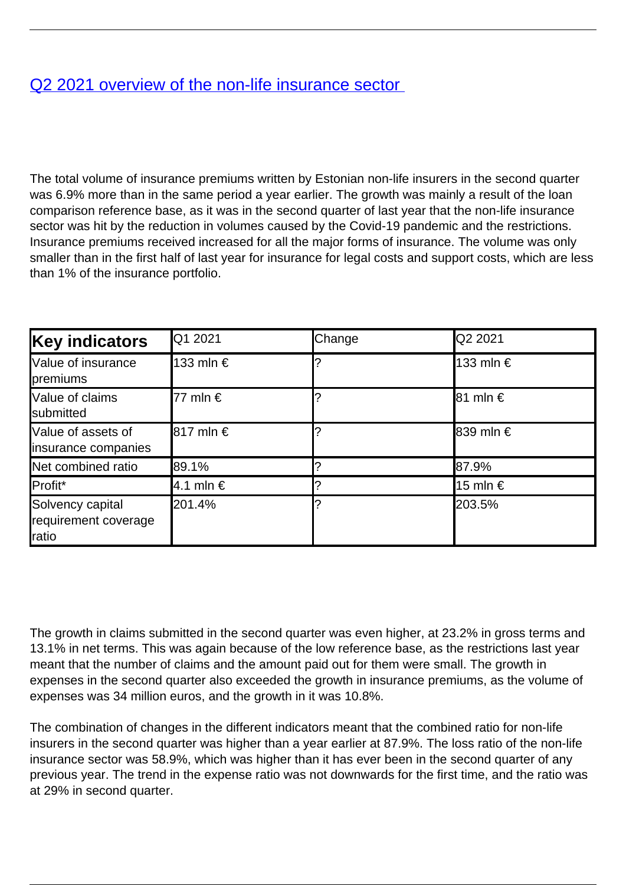## [Q2 2021 overview of the non-life insurance sector](/en/publications/q2-2021-overview-non-life-insurance-sector)

The total volume of insurance premiums written by Estonian non-life insurers in the second quarter was 6.9% more than in the same period a year earlier. The growth was mainly a result of the loan comparison reference base, as it was in the second quarter of last year that the non-life insurance sector was hit by the reduction in volumes caused by the Covid-19 pandemic and the restrictions. Insurance premiums received increased for all the major forms of insurance. The volume was only smaller than in the first half of last year for insurance for legal costs and support costs, which are less than 1% of the insurance portfolio.

| <b>Key indicators</b>                             | Q1 2021           | Change | <b>Q2 2021</b>        |
|---------------------------------------------------|-------------------|--------|-----------------------|
| Value of insurance<br>premiums                    | 133 mln €         |        | <b>l</b> 133 mln €    |
| Value of claims<br>submitted                      | 77 mln $\epsilon$ |        | $ 81 \text{ min} \in$ |
| Value of assets of<br>insurance companies         | <b>8</b> 17 mln € |        | <b>839 mln €</b>      |
| Net combined ratio                                | 89.1%             |        | 87.9%                 |
| Profit*                                           | 4.1 mln €         |        | <b>l</b> 15 mln €     |
| Solvency capital<br>requirement coverage<br>ratio | 201.4%            |        | 203.5%                |

The growth in claims submitted in the second quarter was even higher, at 23.2% in gross terms and 13.1% in net terms. This was again because of the low reference base, as the restrictions last year meant that the number of claims and the amount paid out for them were small. The growth in expenses in the second quarter also exceeded the growth in insurance premiums, as the volume of expenses was 34 million euros, and the growth in it was 10.8%.

The combination of changes in the different indicators meant that the combined ratio for non-life insurers in the second quarter was higher than a year earlier at 87.9%. The loss ratio of the non-life insurance sector was 58.9%, which was higher than it has ever been in the second quarter of any previous year. The trend in the expense ratio was not downwards for the first time, and the ratio was at 29% in second quarter.